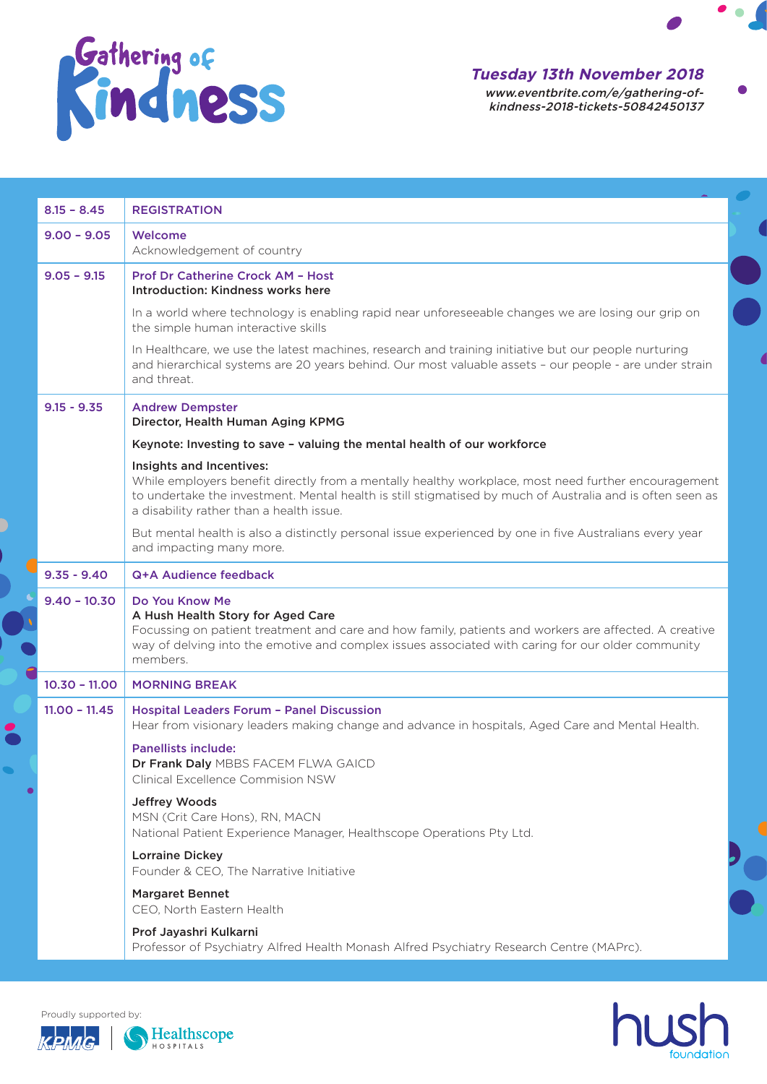

## **Tuesday 13th November 2018**

www.eventbrite.com/e/gathering-ofkindness-2018-tickets-50842450137  $\bullet$   $\bullet$ 

| $8.15 - 8.45$   | <b>REGISTRATION</b>                                                                                                                                                                                                                                                                      |
|-----------------|------------------------------------------------------------------------------------------------------------------------------------------------------------------------------------------------------------------------------------------------------------------------------------------|
| $9.00 - 9.05$   | Welcome                                                                                                                                                                                                                                                                                  |
|                 | Acknowledgement of country                                                                                                                                                                                                                                                               |
| $9.05 - 9.15$   | <b>Prof Dr Catherine Crock AM - Host</b><br>Introduction: Kindness works here                                                                                                                                                                                                            |
|                 | In a world where technology is enabling rapid near unforeseeable changes we are losing our grip on<br>the simple human interactive skills                                                                                                                                                |
|                 | In Healthcare, we use the latest machines, research and training initiative but our people nurturing<br>and hierarchical systems are 20 years behind. Our most valuable assets - our people - are under strain<br>and threat.                                                            |
| $9.15 - 9.35$   | <b>Andrew Dempster</b><br>Director, Health Human Aging KPMG                                                                                                                                                                                                                              |
|                 | Keynote: Investing to save - valuing the mental health of our workforce                                                                                                                                                                                                                  |
|                 | Insights and Incentives:<br>While employers benefit directly from a mentally healthy workplace, most need further encouragement<br>to undertake the investment. Mental health is still stigmatised by much of Australia and is often seen as<br>a disability rather than a health issue. |
|                 | But mental health is also a distinctly personal issue experienced by one in five Australians every year<br>and impacting many more.                                                                                                                                                      |
| $9.35 - 9.40$   | Q+A Audience feedback                                                                                                                                                                                                                                                                    |
| $9,40 - 10,30$  | Do You Know Me<br>A Hush Health Story for Aged Care<br>Focussing on patient treatment and care and how family, patients and workers are affected. A creative<br>way of delving into the emotive and complex issues associated with caring for our older community<br>members.            |
| $10.30 - 11.00$ | <b>MORNING BREAK</b>                                                                                                                                                                                                                                                                     |
| $11.00 - 11.45$ | <b>Hospital Leaders Forum - Panel Discussion</b><br>Hear from visionary leaders making change and advance in hospitals, Aged Care and Mental Health.                                                                                                                                     |
|                 | <b>Panellists include:</b><br>Dr Frank Daly MBBS FACEM FLWA GAICD<br><b>Clinical Excellence Commision NSW</b>                                                                                                                                                                            |
|                 | Jeffrey Woods<br>MSN (Crit Care Hons), RN, MACN<br>National Patient Experience Manager, Healthscope Operations Pty Ltd.                                                                                                                                                                  |
|                 | <b>Lorraine Dickey</b><br>Founder & CEO, The Narrative Initiative                                                                                                                                                                                                                        |
|                 | <b>Margaret Bennet</b><br>CEO, North Eastern Health                                                                                                                                                                                                                                      |
|                 | Prof Jayashri Kulkarni<br>Professor of Psychiatry Alfred Health Monash Alfred Psychiatry Research Centre (MAPrc).                                                                                                                                                                        |



Proudly supported by:



 $\overline{\phantom{a}}$ 

 $\overline{\phantom{a}}$ 

 $\bullet$ 

 $\blacksquare$